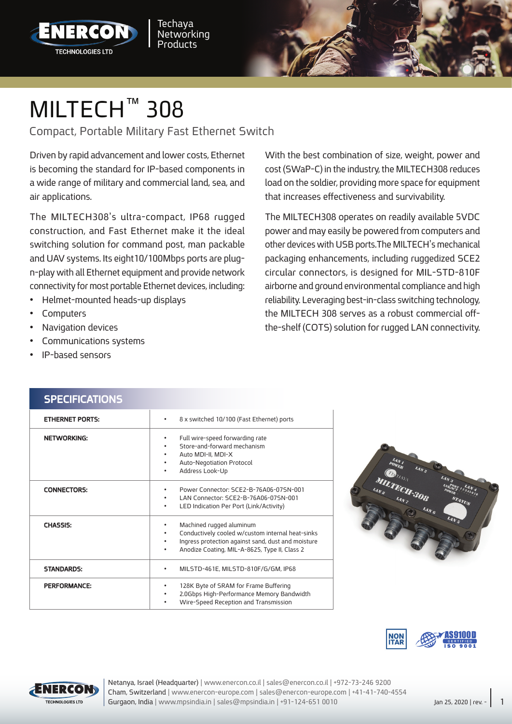



## MILTECH<sup>™</sup> 308

Compact, Portable Military Fast Ethernet Switch

Driven by rapid advancement and lower costs, Ethernet is becoming the standard for IP-based components in a wide range of military and commercial land, sea, and air applications.

The MILTECH308's ultra-compact, IP68 rugged construction, and Fast Ethernet make it the ideal switching solution for command post, man packable n-play with all Ethernet equipment and provide network and UAV systems. Its eight 10/100Mbps ports are plugconnectivity for most portable Ethernet devices, including:

- Helmet-mounted heads-up displays
- Computers•
- Navigation devices
- Communications systems

**SPECIFICATIONS** 

IP-based sensors

With the best combination of size, weight, power and cost (SWaP-C) in the industry, the MILTECH308 reduces load on the soldier, providing more space for equipment that increases effectiveness and survivability.

The MILTECH308 operates on readily available 5VDC power and may easily be powered from computers and other devices with USB ports. The MILTECH's mechanical packaging enhancements, including ruggedized SCE2 circular connectors, is designed for MIL-STD-810F airborne and ground environmental compliance and high reliability. Leveraging best-in-class switching technology, the-shelf (COTS) solution for rugged LAN connectivity. the MILTECH 308 serves as a robust commercial off-

| <b>ETHERNET PORTS:</b> | 8 x switched 10/100 (Fast Ethernet) ports<br>٠                                                                                                                                           |
|------------------------|------------------------------------------------------------------------------------------------------------------------------------------------------------------------------------------|
| <b>NETWORKING:</b>     | Full wire-speed forwarding rate<br>Store-and-forward mechanism<br>Auto MDI-II, MDI-X<br>Auto-Negotiation Protocol<br>Address Look-Up<br>٠                                                |
| <b>CONNECTORS:</b>     | Power Connector: SCE2-B-76A06-075N-001<br>LAN Connector: SCE2-B-76A06-075N-001<br>LED Indication Per Port (Link/Activity)<br>٠                                                           |
| <b>CHASSIS:</b>        | Machined rugged aluminum<br>Conductively cooled w/custom internal heat-sinks<br>Ingress protection against sand, dust and moisture<br>Anodize Coating, MIL-A-8625, Type II, Class 2<br>٠ |
| <b>STANDARDS:</b>      | MILSTD-461E, MILSTD-810F/G/GM, IP68                                                                                                                                                      |
| PERFORMANCE:           | 128K Byte of SRAM for Frame Buffering<br>2.0Gbps High-Performance Memory Bandwidth<br>Wire-Speed Reception and Transmission                                                              |







Cham, Switzerland | www.enercon-europe.com | sales@enercon-europe.com | +41-41-740-4554 Netanya, Israel (Headquarter) | www.enercon.co.il | sales@enercon.co.il | +972-73-246 9200 Gurgaon, India | www.mpsindia.in | sales@mpsindia.in | +91-124-651 0010